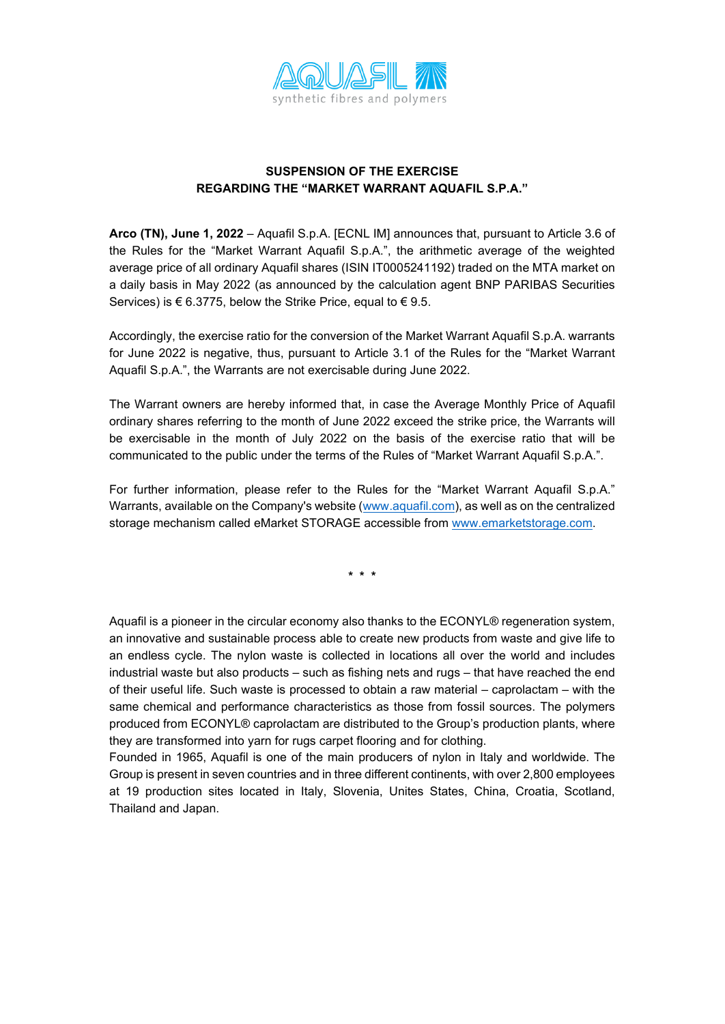

## **SUSPENSION OF THE EXERCISE REGARDING THE "MARKET WARRANT AQUAFIL S.P.A."**

**Arco (TN), June 1, 2022** – Aquafil S.p.A. [ECNL IM] announces that, pursuant to Article 3.6 of the Rules for the "Market Warrant Aquafil S.p.A.", the arithmetic average of the weighted average price of all ordinary Aquafil shares (ISIN IT0005241192) traded on the MTA market on a daily basis in May 2022 (as announced by the calculation agent BNP PARIBAS Securities Services) is  $\epsilon$  6.3775, below the Strike Price, equal to  $\epsilon$  9.5.

Accordingly, the exercise ratio for the conversion of the Market Warrant Aquafil S.p.A. warrants for June 2022 is negative, thus, pursuant to Article 3.1 of the Rules for the "Market Warrant Aquafil S.p.A.", the Warrants are not exercisable during June 2022.

The Warrant owners are hereby informed that, in case the Average Monthly Price of Aquafil ordinary shares referring to the month of June 2022 exceed the strike price, the Warrants will be exercisable in the month of July 2022 on the basis of the exercise ratio that will be communicated to the public under the terms of the Rules of "Market Warrant Aquafil S.p.A.".

For further information, please refer to the Rules for the "Market Warrant Aquafil S.p.A." Warrants, available on the Company's website [\(www.aquafil.com\)](http://www.aquafil.com/), as well as on the centralized storage mechanism called eMarket STORAGE accessible from [www.emarketstorage.com.](http://www.emarketstorage.com/)

**\* \* \***

Aquafil is a pioneer in the circular economy also thanks to the ECONYL® regeneration system, an innovative and sustainable process able to create new products from waste and give life to an endless cycle. The nylon waste is collected in locations all over the world and includes industrial waste but also products – such as fishing nets and rugs – that have reached the end of their useful life. Such waste is processed to obtain a raw material – caprolactam – with the same chemical and performance characteristics as those from fossil sources. The polymers produced from ECONYL® caprolactam are distributed to the Group's production plants, where they are transformed into yarn for rugs carpet flooring and for clothing.

Founded in 1965, Aquafil is one of the main producers of nylon in Italy and worldwide. The Group is present in seven countries and in three different continents, with over 2,800 employees at 19 production sites located in Italy, Slovenia, Unites States, China, Croatia, Scotland, Thailand and Japan.